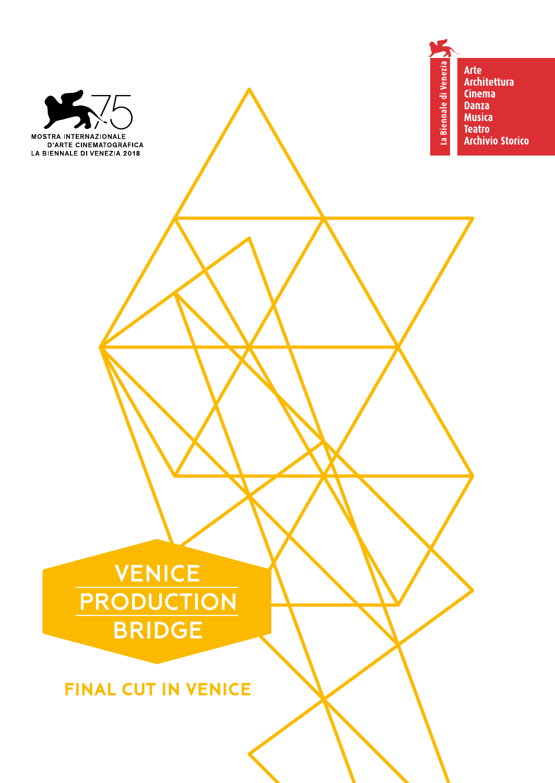

**MOSTRA INTERNAZIONALE** 

D'ARTE CINEMATOGRAFICA<br>D'ARTE CINEMATOGRAFICA<br>LA BIENNALE DI VENEZIA 2018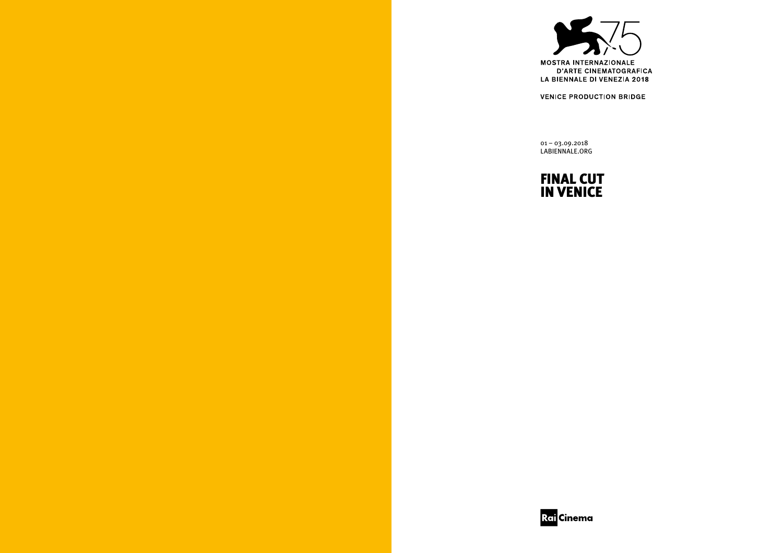

**VENICE PRODUCTION BRIDGE** 

01 – 03.09.2018 LABIENNALE.ORG

## FINAL CUT IN VENICE

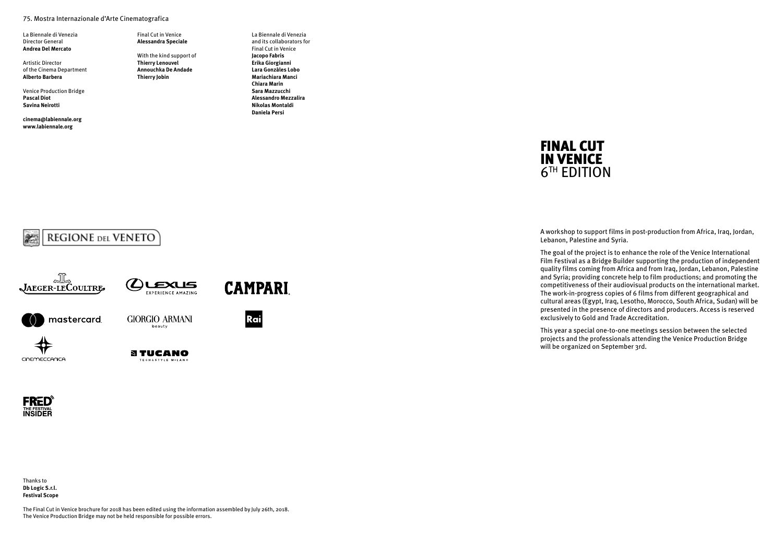#### 75. Mostra Internazionale d'Arte Cinematografica

La Biennale di Venezia Director General **Andrea Del Mercato**

Artistic Director of the Cinema Department **Alberto Barbera**

Venice Production Bridge **Pascal Diot Savina Neirotti**

**cinema@labiennale.org www.labiennale.org**

Final Cut in Venice **Alessandra Speciale** With the kind support of **Thierry Lenouvel Annouchka De Andade**

**Thierry Jobin**

La Biennale di Venezia and its collaborators for Final Cut in Venice **Jacopo Fabris Erika Giorgianni Lara Gonzàles Lobo Mariachiara Manci Chiara Marin Sara Mazzucchi Alessandro Mezzalira Nikolas Montaldi Daniela Persi**



A workshop to support films in post-production from Africa, Iraq, Jordan, Lebanon, Palestine and Syria.

The goal of the project is to enhance the role of the Venice International Film Festival as a Bridge Builder supporting the production of independent quality films coming from Africa and from Iraq, Jordan, Lebanon, Palestine and Syria; providing concrete help to film productions; and promoting the competitiveness of their audiovisual products on the international market. The work-in-progress copies of 6 films from different geographical and cultural areas (Egypt, Iraq, Lesotho, Morocco, South Africa, Sudan) will be presented in the presence of directors and producers. Access is reserved exclusively to Gold and Trade Accreditation.

This year a special one-to-one meetings session between the selected projects and the professionals attending the Venice Production Bridge will be organized on September 3rd.









Rai



**GIORGIO ARMANI** beauty



**STUCANO** TECH&STYLE MILANO



CINEMECCANICA

Thanks to **Db Logic S.r.l. Festival Scope**

The Final Cut in Venice brochure for 2018 has been edited using the information assembled by July 26th, 2018. The Venice Production Bridge may not be held responsible for possible errors.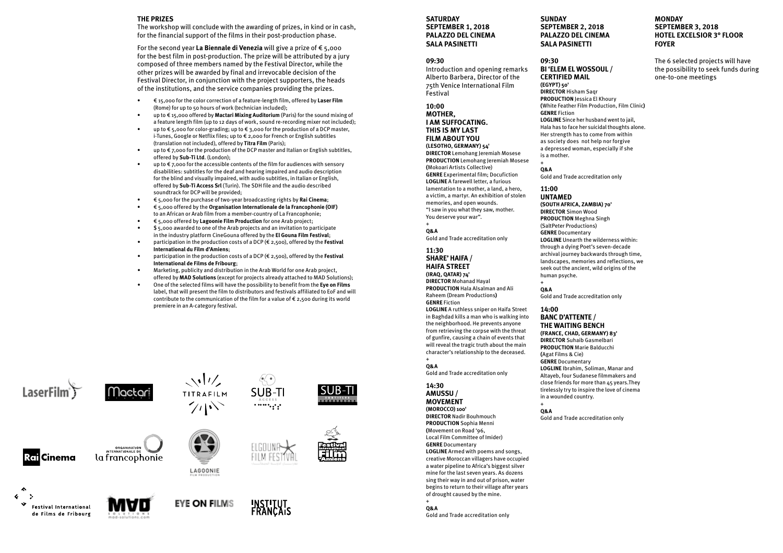#### **THE PRIZES**

The workshop will conclude with the awarding of prizes, in kind or in cash, for the financial support of the films in their post-production phase.

For the second year **La Biennale di Venezia** will give a prize of € 5,000 for the best film in post-production. The prize will be attributed by a jury composed of three members named by the Festival Director, while the other prizes will be awarded by final and irrevocable decision of the Festival Director, in conjunction with the project supporters, the heads of the institutions, and the service companies providing the prizes.

- € 15,000 for the color correction of a feature-length film, offered by **Laser Film** (Rome) for up to 50 hours of work (technician included);
- up to € 15,000 offered by **Mactari Mixing Auditorium** (Paris) for the sound mixing of a feature length film (up to 12 days of work, sound re-recording mixer not included);
- up to  $\epsilon$  5,000 for color-grading; up to  $\epsilon$  3,000 for the production of a DCP master, i-Tunes, Google or Netflix files; up to € 2,000 for French or English subtitles (translation not included), offered by **Titra Film** (Paris);
- up to  $\epsilon$  7,000 for the production of the DCP master and Italian or English subtitles, offered by **Sub-Ti Ltd**. (London);
- up to  $f$  7,000 for the accessible contents of the film for audiences with sensory disabilities: subtitles for the deaf and hearing impaired and audio description for the blind and visually impaired, with audio subtitles, in Italian or English, offered by **Sub-Ti Access Srl** (Turin). The SDH file and the audio described soundtrack for DCP will be provided;
- € 5,000 for the purchase of two-year broadcasting rights by **Rai Cinema**;
- € 5,000 offered by the **Organisation Internationale de la Francophonie (OIF)** to an African or Arab film from a member-country of La Francophonie;
- € 5,000 offered by **Lagoonie Film Production** for one Arab project;
- \$ 5,000 awarded to one of the Arab projects and an invitation to participate in the industry platform CineGouna offered by the **El Gouna Film Festival**; • participation in the production costs of a DCP (€ 2,500), offered by the **Festival**
- **International du Film d'Amiens**;
- participation in the production costs of a DCP (€ 2,500), offered by the **Festival International de Films de Fribourg**;
- Marketing, publicity and distribution in the Arab World for one Arab project, offered by **MAD Solutions** (except for projects already attached to MAD Solutions);
- One of the selected films will have the possibility to benefit from the **Eye on Films** label, that will present the film to distributors and festivals affiliated to EoF and will contribute to the communication of the film for a value of  $\epsilon$  2,500 during its world premiere in an A-category festival.



**Rail Cinema** 

- 5



**ORGANISATION**<br>TERNATIONALE DE

la francophonie





 $70^{\circ}$ 



**Festival International** de Films de Fribourg







**SUB-TI** 

 $\cdots$ 

ISUB-T

#### **SATURDAY SEPTEMBER 1, 2018 PALAZZO DEL CINEMA SALA PASINETTI**

#### **09:30**

Introduction and opening remarks Alberto Barbera, Director of the 75th Venice International Film Festival

**10:00 MOTHER,** 

#### **I AM SUFFOCATING.**

**THIS IS MY LAST FILM ABOUT YOU (LESOTHO, GERMANY) 54' DIRECTOR** Lemohang Jeremiah Mosese **PRODUCTION** Lemohang Jeremiah Mosese **(**Mokoari Artists Collective) **GENRE** Experimental film; Docufiction **LOGLINE** A farewell letter, a furious lamentation to a mother, a land, a hero, a victim, a martyr. An exhibition of stolen memories, and open wounds. "I saw in you what they saw, mother. You deserve your war".

#### + **Q&A**  Gold and Trade accreditation only

**11:30** 

**SHARE' HAIFA / HAIFA STREET (IRAQ, QATAR) 74' DIRECTOR** Mohanad Hayal **PRODUCTION** Hala Alsalman and Ali Raheem (Dream Productions**) GENRE** Fiction

**LOGLINE** A ruthless sniper on Haifa Street in Baghdad kills a man who is walking into the neighborhood. He prevents anyone from retrieving the corpse with the threat of gunfire, causing a chain of events that will reveal the tragic truth about the main character's relationship to the deceased.

#### + **Q&A**

Gold and Trade accreditation only

#### **14:30 AMUSSU /**

**MOVEMENT (MOROCCO) 100'**

**DIRECTOR** Nadir Bouhmouch **PRODUCTION** Sophia Menni **(**Movement on Road '96, Local Film Committee of Imider) **GENRE** Documentary **LOGLINE** Armed with poems and songs, creative Moroccan villagers have occupied a water pipeline to Africa's biggest silver mine for the last seven years. As dozens sing their way in and out of prison, water begins to return to their village after years of drought caused by the mine.

#### + **Q&A**

Gold and Trade accreditation only

**SUNDAY SEPTEMBER 2, 2018 PALAZZO DEL CINEMA SALA PASINETTI**

#### **09:30 BI 'ELEM EL WOSSOUL / CERTIFIED MAIL (EGYPT) 50' DIRECTOR** Hisham Saqr **PRODUCTION** Jessica El Khoury

**(**White Feather Film Production, Film Clinic**) GENRE** Fiction **LOGLINE** Since her husband went to jail, Hala has to face her suicidal thoughts alone. Her strength has to come from within as society does not help nor forgive a depressed woman, especially if she

#### + **Q&A**

Gold and Trade accreditation only

#### **11:00 UNTAMED**

is a mother.

**(SOUTH AFRICA, ZAMBIA) 70' DIRECTOR** Simon Wood **PRODUCTION** Meghna Singh (SaltPeter Productions) **GENRE** Documentary **LOGLINE** Unearth the wilderness within: through a dying Poet's seven-decade archival journey backwards through time, landscapes, memories and reflections, we seek out the ancient, wild origins of the human psyche. +

**Q&A**  Gold and Trade accreditation only

#### **14:00**

**BANC D'ATTENTE / THE WAITING BENCH (FRANCE, CHAD, GERMANY) 83' DIRECTOR** Suhaib Gasmelbari

**PRODUCTION** Marie Balducchi **(**Agat Films & Cie)

**GENRE** Documentary

**LOGLINE** Ibrahim, Soliman, Manar and Altayeb, four Sudanese filmmakers and close friends for more than 45 years.They tirelessly try to inspire the love of cinema in a wounded country.

+ **Q&A** 

Gold and Trade accreditation only

#### **MONDAY SEPTEMBER 3, 2018 HOTEL EXCELSIOR 3° FLOOR FOYER**

The 6 selected projects will have the possibility to seek funds during one-to-one meetings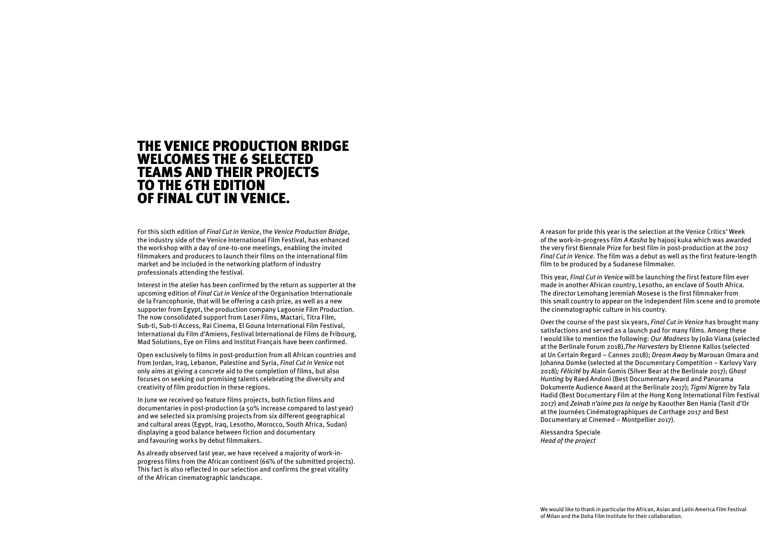## THE VENICE PRODUCTION BRIDGE WELCOMES THE 6 SELECTED TEAMS AND THEIR PROJECTS TO THE 6TH EDITION OF FINAL CUT IN VENICE.

For this sixth edition of *Final Cut in Venice*, the *Venice Production Bridge*, the industry side of the Venice International Film Festival, has enhanced the workshop with a day of one-to-one meetings, enabling the invited filmmakers and producers to launch their films on the international film market and be included in the networking platform of industry professionals attending the festival.

Interest in the atelier has been confirmed by the return as supporter at the upcoming edition of *Final Cut in Venice* of the Organisation Internationale de la Francophonie, that will be offering a cash prize, as well as a new supporter from Egypt, the production company Lagoonie Film Production. The now consolidated support from Laser Films, Mactari, Titra Film, Sub-ti, Sub-ti Access, Rai Cinema, El Gouna International Film Festival, International du Film d'Amiens, Festival International de Films de Fribourg, Mad Solutions, Eye on Films and Institut Français have been confirmed.

Open exclusively to films in post-production from all African countries and from Jordan, Iraq, Lebanon, Palestine and Syria, *Final Cut in Venice* not only aims at giving a concrete aid to the completion of films, but also focuses on seeking out promising talents celebrating the diversity and creativity of film production in these regions.

In June we received 90 feature films projects, both fiction films and documentaries in post-production (a 50% increase compared to last year) and we selected six promising projects from six different geographical and cultural areas (Egypt, Iraq, Lesotho, Morocco, South Africa, Sudan) displaying a good balance between fiction and documentary and favouring works by debut filmmakers.

As already observed last year, we have received a majority of work-inprogress films from the African continent (66% of the submitted projects). This fact is also reflected in our selection and confirms the great vitality of the African cinematographic landscape.

A reason for pride this year is the selection at the Venice Critics' Week of the work-in-progress film *A Kasha* by hajooj kuka which was awarded the very first Biennale Prize for best film in post-production at the 2017 *Final Cut in Venice*. The film was a debut as well as the first feature-length film to be produced by a Sudanese filmmaker.

This year, *Final Cut in Venice* will be launching the first feature film ever made in another African country, Lesotho, an enclave of South Africa. The director Lemohang Jeremiah Mosese is the first filmmaker from this small country to appear on the independent film scene and to promote the cinematographic culture in his country.

Over the course of the past six years, *Final Cut in Venice* has brought many satisfactions and served as a launch pad for many films. Among these I would like to mention the following: *Our Madness* by João Viana (selected at the Berlinale Forum 2018),*The Harvesters* by Etienne Kallos (selected at Un Certain Regard – Cannes 2018); *Dream Away* by Marouan Omara and Johanna Domke (selected at the Documentary Competition – Karlovy Vary 2018)*; Félicité* by Alain Gomis (Silver Bear at the Berlinale 2017); *Ghost Hunting* by Raed Andoni (Best Documentary Award and Panorama Dokumente Audience Award at the Berlinale 2017); *Tigmi Nigren* by Tala Hadid (Best Documentary Film at the Hong Kong International Film Festival 2017) and *Zeinab n'aime pas la neige* by Kaouther Ben Hania (Tanit d'Or at the Journées Cinématographiques de Carthage 2017 and Best Documentary at Cinemed – Montpellier 2017).

Alessandra Speciale *Head of the project*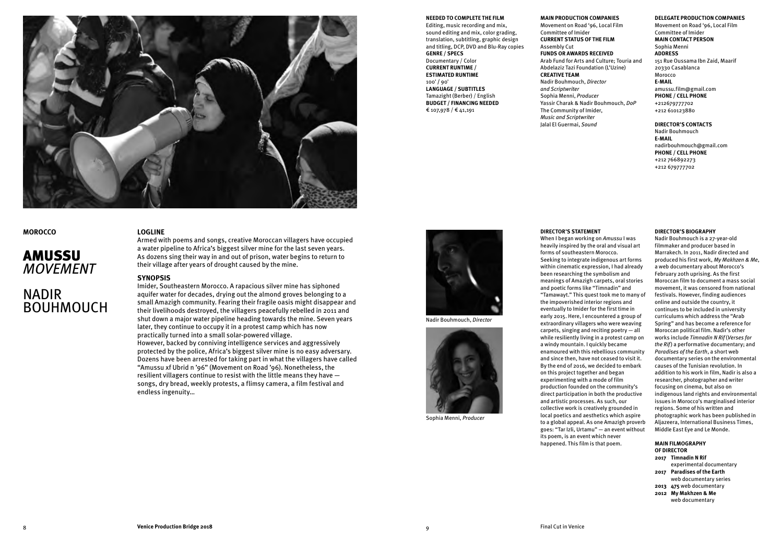

#### **MOROCCO**

## AMUSSU *MOVEMENT*

## NADIR **BOUHMOUCH**

#### **LOGLINE**

Armed with poems and songs, creative Moroccan villagers have occupied a water pipeline to Africa's biggest silver mine for the last seven years. As dozens sing their way in and out of prison, water begins to return to their village after years of drought caused by the mine.

#### **SYNOPSIS**

Imider, Southeastern Morocco. A rapacious silver mine has siphoned aquifer water for decades, drying out the almond groves belonging to a small Amazigh community. Fearing their fragile oasis might disappear and their livelihoods destroyed, the villagers peacefully rebelled in 2011 and shut down a major water pipeline heading towards the mine. Seven years later, they continue to occupy it in a protest camp which has now practically turned into a small solar-powered village. However, backed by conniving intelligence services and aggressively protected by the police, Africa's biggest silver mine is no easy adversary. Dozens have been arrested for taking part in what the villagers have called "Amussu xf Ubrid n '96" (Movement on Road '96). Nonetheless, the resilient villagers continue to resist with the little means they have songs, dry bread, weekly protests, a flimsy camera, a film festival and endless ingenuity…

### **NEEDED TO COMPLETE THE FILM**

Editing, music recording and mix, sound editing and mix, color grading, translation, subtitling, graphic design and titling, DCP, DVD and Blu-Ray copies **GENRE / SPECS** Documentary / Color **CURRENT RUNTIME / ESTIMATED RUNTIME**  100' **/** 90' **LANGUAGE / SUBTITLES** Tamazight (Berber) / English **BUDGET / FINANCING NEEDED**  € 107,978 / € 41,191

Nadir Bouhmouch, *Director*

Sophia Menni, *Producer*

#### **MAIN PRODUCTION COMPANIES**

Movement on Road '96, Local Film Committee of Imider **CURRENT STATUS OF THE FILM** Assembly Cut **FUNDS OR AWARDS RECEIVED** Arab Fund for Arts and Culture; Touria and Abdelaziz Tazi Foundation (L'Uzine) **CREATIVE TEAM** Nadir Bouhmouch, *Director and Scriptwriter* Sophia Menni, *Producer* Yassir Charak & Nadir Bouhmouch, *DoP* The Community of Imider, *Music and Scriptwriter* Jalal El Guermai, *Sound*

#### **DELEGATE PRODUCTION COMPANIES**

Movement on Road '96, Local Film Committee of Imider **MAIN CONTACT PERSON** Sophia Menni **ADDRESS** 151 Rue Oussama Ibn Zaid, Maarif 20330 Casablanca

Morocco **E-MAIL** amussu.film@gmail.com **PHONE / CELL PHONE** +212679777702 +212 610123880

#### **DIRECTOR'S CONTACTS**

Nadir Bouhmouch **E-MAIL** [nadirbouhmouch@gmail.com](https://webmail2010.labiennale.org/owa/Sara.Mazzucchi@labiennale.org/redir.aspx?C=WBaQ9ZHxYot-FroktQXl--zVRErsFsDkQmLs23UnQraqEnY5uuvVCA..&URL=mailto%3anadirbouhmouch%40gmail.com) **PHONE / CELL PHONE** +212 766892273 +212 679777702

#### **DIRECTOR'S STATEMENT**

When I began working on *Amussu* I was heavily inspired by the oral and visual art forms of southeastern Morocco. Seeking to integrate indigenous art forms within cinematic expression, I had already been researching the symbolism and meanings of Amazigh carpets, oral stories and poetic forms like "Timnadin" and "Tamawayt." This quest took me to many of the impoverished interior regions and eventually to Imider for the first time in early 2015. Here, I encountered a group of extraordinary villagers who were weaving carpets, singing and reciting poetry — all while resiliently living in a protest camp on a windy mountain. I quickly became enamoured with this rebellious community and since then, have not ceased to visit it. By the end of 2016, we decided to embark on this project together and began experimenting with a mode of film production founded on the community's direct participation in both the productive and artistic processes. As such, our collective work is creatively grounded in local poetics and aesthetics which aspire to a global appeal. As one Amazigh proverb goes: "Tar Izli, Urtamu" — an event without its poem, is an event which never happened. This film is that poem.

#### **DIRECTOR'S BIOGRAPHY**

Nadir Bouhmouch is a 27-year-old filmmaker and producer based in Marrakech. In 2011, Nadir directed and produced his first work, *My Makhzen & Me*, a web documentary about Morocco's February 20th uprising. As the first Moroccan film to document a mass social movement, it was censored from national festivals. However, finding audiences online and outside the country, it continues to be included in university curriculums which address the "Arab Spring" and has become a reference for Moroccan political film. Nadir's other works include *Timnadin N Rif* (*Verses for the Rif*) a performative documentary; and *Paradises of the Earth*, a short web documentary series on the environmental causes of the Tunisian revolution. In addition to his work in film, Nadir is also a researcher, photographer and writer focusing on cinema, but also on indigenous land rights and environmental issues in Morocco's marginalised interior regions. Some of his written and photographic work has been published in Aljazeera, International Business Times, Middle East Eye and Le Monde.

#### **MAIN FILMOGRAPHY OF DIRECTOR**

**2017 Timnadin N Rif** experimental documentary **2017 Paradises of the Earth** web documentary series **2013 475** web documentary **2012 My Makhzen & Me** web documentary

| <b>Venice Production Bridge 2018</b> |  | Final Cut in Venice |
|--------------------------------------|--|---------------------|
|--------------------------------------|--|---------------------|

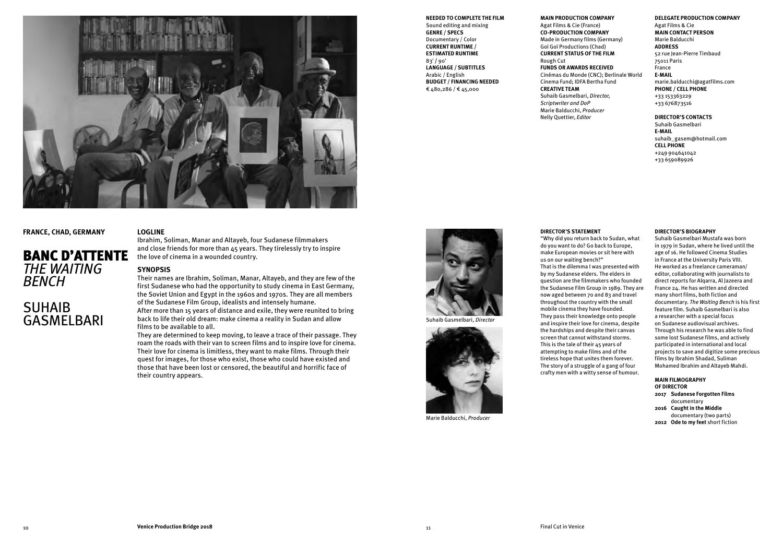

#### **FRANCE, CHAD, GERMANY**

## BANC D'ATTENTE *THE WAITING BENCH*

## SUHAIB<br>GASMELBARI

#### **LOGLINE**

Ibrahim, Soliman, Manar and Altayeb, four Sudanese filmmakers and close friends for more than 45 years. They tirelessly try to inspire the love of cinema in a wounded country.

#### **SYNOPSIS**

Their names are Ibrahim, Soliman, Manar, Altayeb, and they are few of the first Sudanese who had the opportunity to study cinema in East Germany, the Soviet Union and Egypt in the 1960s and 1970s. They are all members of the Sudanese Film Group, idealists and intensely humane. After more than 15 years of distance and exile, they were reunited to bring

GASMELBARI back to life their old dream: make cinema a reality in Sudan and allow<br>
films to be available to all films to be available to all.

They are determined to keep moving, to leave a trace of their passage. They roam the roads with their van to screen films and to inspire love for cinema. Their love for cinema is limitless, they want to make films. Through their quest for images, for those who exist, those who could have existed and those that have been lost or censored, the beautiful and horrific face of their country appears.

#### **NEEDED TO COMPLETE THE FILM**

Sound editing and mixing **GENRE / SPECS** Documentary / Color **CURRENT RUNTIME / ESTIMATED RUNTIME**  83' **/** 90' **LANGUAGE / SUBTITLES** Arabic / English **BUDGET / FINANCING NEEDED**  € 480,286 / € 45,000

#### **MAIN PRODUCTION COMPANY**

Agat Films & Cie (France) **CO-PRODUCTION COMPANY** Made in Germany films (Germany) Goï Goï Productions (Chad) **CURRENT STATUS OF THE FILM** Rough Cut **FUNDS OR AWARDS RECEIVED** Cinémas du Monde (CNC); Berlinale World Cinema Fund; IDFA Bertha Fund **CREATIVE TEAM** Suhaib Gasmelbari, *Director, Scriptwriter and DoP* Marie Balducchi, *Producer* Nelly Quettier, *Editor*

#### **DELEGATE PRODUCTION COMPANY** Agat Films & Cie **MAIN CONTACT PERSON** Marie Balducchi **ADDRESS** 52 rue Jean-Pierre Timbaud 75011 Paris France **E-MAIL**

[marie.balducchi@agatfilms.com](https://webmail2010.labiennale.org/owa/Sara.Mazzucchi@labiennale.org/redir.aspx?C=VVXXc-Ilo0Q_JHIWpnpdCFwYvYoMT_0l4QcTHToP4PVouAcv_evVCA..&URL=mailto%3amarie.balducchi%40agatfilms.com) **PHONE / CELL PHONE**

+33 153363229 +33 676873516

**DIRECTOR'S CONTACTS** Suhaib Gasmelbari **E-MAIL** suhaib\_gasem@hotmail.com **CELL PHONE** +249 904641042 +33 659089926

#### **DIRECTOR'S STATEMENT**

"Why did you return back to Sudan, what do you want to do? Go back to Europe, make European movies or sit here with us on our waiting bench?" That is the dilemma I was presented with by my Sudanese elders. The elders in question are the filmmakers who founded the Sudanese Film Group in 1989. They are now aged between 70 and 83 and travel throughout the country with the small mobile cinema they have founded. They pass their knowledge onto people and inspire their love for cinema, despite the hardships and despite their canvas screen that cannot withstand storms. This is the tale of their 45 years of attempting to make films and of the tireless hope that unites them forever. The story of a struggle of a gang of four crafty men with a witty sense of humour.

#### **DIRECTOR'S BIOGRAPHY**

Suhaib Gasmelbari Mustafa was born in 1979 in Sudan, where he lived until the age of 16. He followed Cinema Studies in France at the University Paris VIII. He worked as a freelance cameraman/ editor, collaborating with journalists to direct reports for Alqarra, Al Jazeera and France 24. He has written and directed many short films, both fiction and documentary. *The Waiting Bench* is his first feature film. Suhaib Gasmelbari is also a researcher with a special focus on Sudanese audiovisual archives. Through his research he was able to find some lost Sudanese films, and actively participated in international and local projects to save and digitize some precious films by Ibrahim Shadad, Suliman Mohamed Ibrahim and Altayeb Mahdi.

#### **MAIN FILMOGRAPHY OF DIRECTOR**

**2017 Sudanese Forgotten Films** documentary **2016 Caught in the Middle** documentary (two parts) **2012 Ode to my feet** short fiction



Marie Balducchi, *Producer*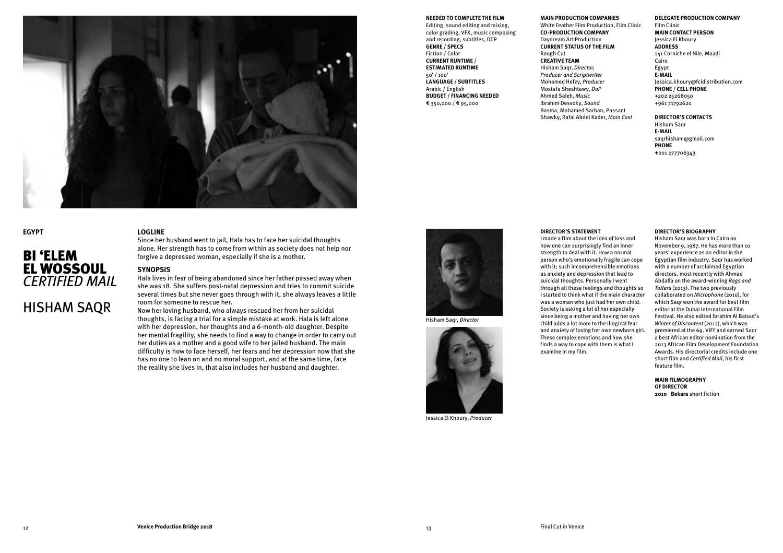

#### **EGYPT**

## BI 'ELEM EL WOSSOUL *CERTIFIED MAIL*

HISHAM SAQR

#### **LOGLINE**

Since her husband went to jail, Hala has to face her suicidal thoughts alone. Her strength has to come from within as society does not help nor forgive a depressed woman, especially if she is a mother.

#### **SYNOPSIS**

Hala lives in fear of being abandoned since her father passed away when she was 18. She suffers post-natal depression and tries to commit suicide several times but she never goes through with it, she always leaves a little room for someone to rescue her.

Now her loving husband, who always rescued her from her suicidal thoughts, is facing a trial for a simple mistake at work. Hala is left alone with her depression, her thoughts and a 6-month-old daughter. Despite her mental fragility, she needs to find a way to change in order to carry out her duties as a mother and a good wife to her jailed husband. The main difficulty is how to face herself, her fears and her depression now that she has no one to lean on and no moral support, and at the same time, face the reality she lives in, that also includes her husband and daughter.

#### **NEEDED TO COMPLETE THE FILM**

Editing, sound editing and mixing, color grading, VFX, music composing and recording, subtitles, DCP **GENRE / SPECS** Fiction / Color **CURRENT RUNTIME / ESTIMATED RUNTIME**  50' **/** 100' **LANGUAGE / SUBTITLES** Arabic / English **BUDGET / FINANCING NEEDED**  € 350,000 / € 95,000

#### **MAIN PRODUCTION COMPANIES**

White Feather Film Production, Film Clinic **CO-PRODUCTION COMPANY** Daydream Art Production **CURRENT STATUS OF THE FILM** Rough Cut **CREATIVE TEAM** Hisham Saqr, *Director, Producer and Scriptwriter* Mohamed Hefzy, *Producer* Mostafa Sheshtawy, *DoP* Ahmed Saleh, *Music*  Ibrahim Dessoky, *Sound* Basma, Mohamed Sarhan, Passant Shawky, Rafal Abdel Kader, *Main Cast*

#### **DELEGATE PRODUCTION COMPANY**

Film Clinic **MAIN CONTACT PERSON** Jessica El Khoury **ADDRESS** 141 Corniche el Nile, Maadi Cairo Egypt **E-MAIL** Jessica.khoury@fcidistribution.com **PHONE / CELL PHONE** +202 25268050 +961 71792620

**DIRECTOR'S CONTACTS** Hisham Saqr **E-MAIL** saqrhisham@gmail.com **PHONE +**201 277706343

#### **DIRECTOR'S STATEMENT**

I made a film about the idea of loss and how one can surprisingly find an inner strength to deal with it. How a normal person who's emotionally fragile can cope with it; such incomprehensible emotions as anxiety and depression that lead to suicidal thoughts. Personally I went through all these feelings and thoughts so I started to think what if the main character was a woman who just had her own child. Society is asking a lot of her especially since being a mother and having her own child adds a lot more to the illogical fear and anxiety of losing her own newborn girl. These complex emotions and how she finds a way to cope with them is what I examine in my film.

#### **DIRECTOR'S BIOGRAPHY**

Hisham Saqr was born in Cairo on November 9, 1987. He has more than 10 years' experience as an editor in the Egyptian film industry. Saqr has worked with a number of acclaimed Egyptian directors, most recently with Ahmad Abdalla on the award-winning *Rags and Tatters* (2013). The two previously collaborated on *Microphone* (2010), for which Saqr won the award for best film editor at the Dubai International Film Festival. He also edited Ibrahim Al Batout's *Winter of Discontent* (2012), which was premiered at the 69. VIFF and earned Saqr a best African editor nomination from the 2013 African Film Development Foundation Awards. His directorial credits include one short film and *Certified Mail*, his first feature film.

**MAIN FILMOGRAPHY OF DIRECTOR 2010 Bekara** short fiction

Jessica El Khoury, *Producer*

Hisham Saqr, *Director*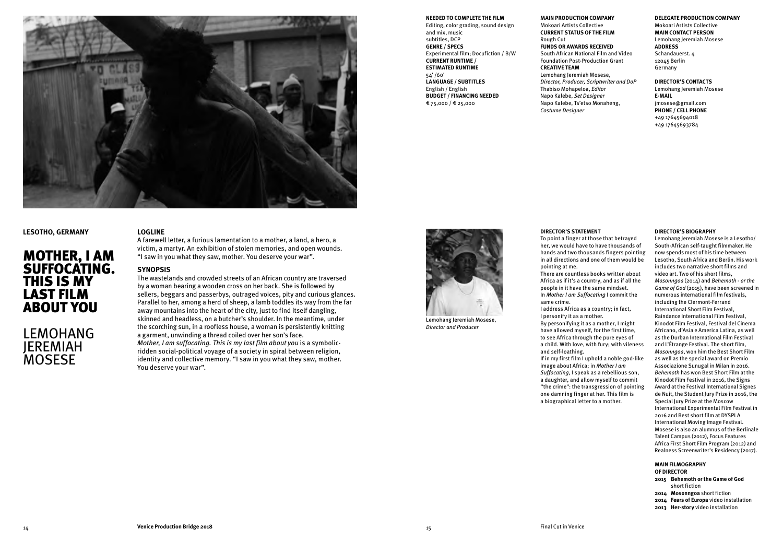

#### **LESOTHO, GERMANY**

## MOTHER, I AM SUFFOCATING. THIS IS MY LAST FILM ABOUT YOU

LEMOHANG JEREMIAH **MOSESE** 

#### **LOGLINE**

A farewell letter, a furious lamentation to a mother, a land, a hero, a victim, a martyr. An exhibition of stolen memories, and open wounds. "I saw in you what they saw, mother. You deserve your war".

#### **SYNOPSIS**

The wastelands and crowded streets of an African country are traversed by a woman bearing a wooden cross on her back. She is followed by sellers, beggars and passerbys, outraged voices, pity and curious glances. Parallel to her, among a herd of sheep, a lamb toddles its way from the far away mountains into the heart of the city, just to find itself dangling, skinned and headless, on a butcher's shoulder. In the meantime, under the scorching sun, in a roofless house, a woman is persistently knitting a garment, unwinding a thread coiled over her son's face. *Mother, I am suffocating. This is my last film about you* is a symbolicridden social-political voyage of a society in spiral between religion, identity and collective memory. "I saw in you what they saw, mother. You deserve your war".

#### **NEEDED TO COMPLETE THE FILM**

Editing, color grading, sound design and mix, music subtitles, DCP **GENRE / SPECS** Experimental film; Docufiction / B/W **CURRENT RUNTIME / ESTIMATED RUNTIME**  54' /60' **LANGUAGE / SUBTITLES** English / English **BUDGET / FINANCING NEEDED**  € 75,000 / € 25,000

#### **MAIN PRODUCTION COMPANY**

Mokoari Artists Collective **CURRENT STATUS OF THE FILM** Rough Cut **FUNDS OR AWARDS RECEIVED** South African National Film and Video Foundation Post-Production Grant **CREATIVE TEAM** Lemohang Jeremiah Mosese, *Director, Producer, Scriptwriter and DoP* Thabiso Mohapeloa, *Editor* Napo Kalebe, *Set Designer* Napo Kalebe, Ts'etso Monaheng, *Costume Designer*

#### **DELEGATE PRODUCTION COMPANY**

Mokoari Artists Collective **MAIN CONTACT PERSON** Lemohang Jeremiah Mosese **ADDRESS** Schandauerst. 4 12045 Berlin Germany

#### **DIRECTOR'S CONTACTS**

Lemohang Jeremiah Mosese **E-MAIL** [jmosese@gmail.com](https://webmail2010.labiennale.org/owa/Sara.Mazzucchi@labiennale.org/redir.aspx?C=mvTZ0ufJl8XVmSW4cq2Ql_Iidc9d6iM-e3FCZF3TuTXEZjXBuOzVCA..&URL=mailto%3ajmosese%40gmail.com) **PHONE / CELL PHONE** +49 17645694018 +49 17645693784

Lemohang Jeremiah Mosese, *Director and Producer*



To point a finger at those that betrayed her, we would have to have thousands of hands and two thousands fingers pointing in all directions and one of them would be pointing at me.

There are countless books written about Africa as if it's a country, and as if all the people in it have the same mindset. In *Mother I am Suffocating* I commit the same crime.

I address Africa as a country; in fact, I personify it as a mother. By personifying it as a mother, I might have allowed myself, for the first time, to see Africa through the pure eyes of a child. With love, with fury; with vileness and self-loathing. If in my first film I uphold a noble god-like image about Africa; in *Mother I am Suffocating*, I speak as a rebellious son, a daughter, and allow myself to commit "the crime": the transgression of pointing one damning finger at her. This film is a biographical letter to a mother.

#### **DIRECTOR'S BIOGRAPHY**

Lemohang Jeremiah Mosese is a Lesotho/ South-African self-taught filmmaker. He now spends most of his time between Lesotho, South Africa and Berlin. His work includes two narrative short films and video art. Two of his short films, *Mosonngoa* (2014) and *Behemoth - or the Game of God* (2015), have been screened in numerous international film festivals, including the Clermont-Ferrand International Short Film Festival, Raindance International Film Festival, Kinodot Film Festival, Festival del Cinema Africano, d'Asia e America Latina, as well as the Durban International Film Festival and L'Étrange Festival. The short film, *Mosonngoa*, won him the Best Short Film as well as the special award on Premio Associazione Sunugal in Milan in 2016. *Behemoth* has won Best Short Film at the Kinodot Film Festival in 2016, the Signs Award at the Festival International Signes de Nuit, the Student Jury Prize in 2016, the Special Jury Prize at the Moscow International Experimental Film Festival in 2016 and Best short film at DYSPLA International Moving Image Festival. Mosese is also an alumnus of the Berlinale Talent Campus (2012), Focus Features Africa First Short Film Program (2012) and Realness Screenwriter's Residency (2017).

#### **MAIN FILMOGRAPHY**

**OF DIRECTOR Behemoth or the Game of God** short fiction **Mosonngoa** short fiction **Fears of Europa** video installation **Her-story** video installation

14 **Venice Production Bridge 2018** 15 Final Cut in Venice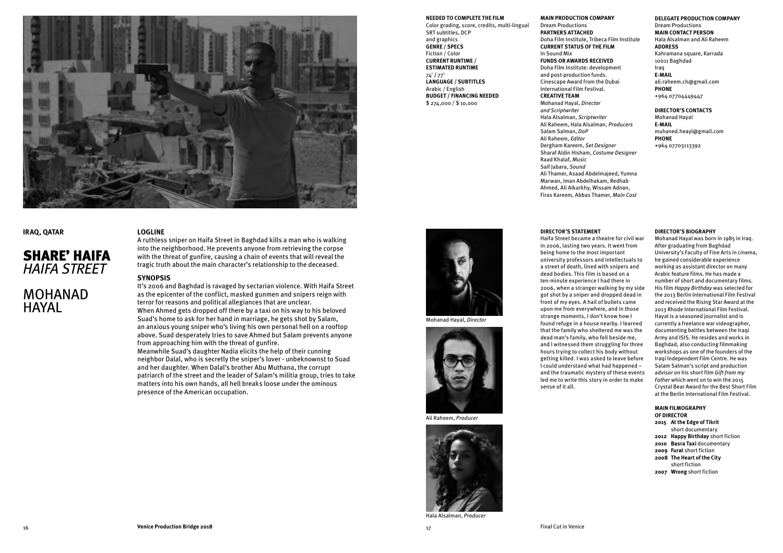

#### **IRAQ, QATAR**

## SHARE' HAIFA *HAIFA STREET*

## MOHANAD **HAYAI**

#### **LOGLINE**

A ruthless sniper on Haifa Street in Baghdad kills a man who is walking into the neighborhood. He prevents anyone from retrieving the corpse with the threat of gunfire, causing a chain of events that will reveal the tragic truth about the main character's relationship to the deceased.

#### **SYNOPSIS**

It's 2006 and Baghdad is ravaged by sectarian violence. With Haifa Street as the epicenter of the conflict, masked gunmen and snipers reign with terror for reasons and political allegiances that are unclear. When Ahmed gets dropped off there by a taxi on his way to his beloved Suad's home to ask for her hand in marriage, he gets shot by Salam, an anxious young sniper who's living his own personal hell on a rooftop above. Suad desperately tries to save Ahmed but Salam prevents anyone from approaching him with the threat of gunfire. Meanwhile Suad's daughter Nadia elicits the help of their cunning neighbor Dalal, who is secretly the sniper's lover - unbeknownst to Suad and her daughter. When Dalal's brother Abu Muthana, the corrupt

patriarch of the street and the leader of Salam's militia group, tries to take matters into his own hands, all hell breaks loose under the ominous presence of the American occupation.



**NEEDED TO COMPLETE THE FILM** Color grading, score, credits, multi-lingual

SRT subtitles, DCP and graphics **GENRE / SPECS** Fiction / Color **CURRENT RUNTIME / ESTIMATED RUNTIME** 

**LANGUAGE / SUBTITLES** Arabic / English

**BUDGET / FINANCING NEEDED**  \$ 274,000 / \$ 10,000

74' **/** 77'

Mohanad Hayal, *Director*



Ali Raheem, *Producer*



Hala Alsalman, *Producer*

#### **MAIN PRODUCTION COMPANY**

Dream Productions **PARTNERS ATTACHED** Doha Film Institute, Tribeca Film Institute **CURRENT STATUS OF THE FILM** In Sound Mix **FUNDS OR AWARDS RECEIVED** Doha Film Institute: development and post-production funds. Cinescape Award from the Dubai International Film Festival. **CREATIVE TEAM** Mohanad Hayal, *Director and Scriptwriter* Hala Alsalman, *Scriptwriter* Ali Raheem, Hala Alsalman, *Producers* Salam Salman, *DoP* Ali Raheem, *Editor*  Dergham Kareem, *Set Designer* Sharaf Aldin Hisham, *Costume Designer* Raad Khalaf, *Music* Saif Jabara, *Sound* Ali Thamer, Asaad Abdelmajeed, Yumna Marwan, Iman Abdelhakam, Redhab Ahmed, Ali Alkarkhy, Wissam Adnan, Firas Kareem, Abbas Thamer, *Main Cast*

#### **DELEGATE PRODUCTION COMPANY** Dream Productions **MAIN CONTACT PERSON**

Hala Alsalman and Ali Raheem **ADDRESS** Kahramana square, Karrada 10011 Baghdad Iraq **E-MAIL** [ali.raheem.ch@gmail.com](https://webmail2010.labiennale.org/owa/Sara.Mazzucchi@labiennale.org/redir.aspx?C=PS3lDs6wJeQkvQpSeeW29pZDRfxhNiCNvG3Z9ssSQz5MchPaTe3VCA..&URL=mailto%3aali.raheem.ch%40gmail.com) **PHONE**  +964 07704449447

#### **DIRECTOR'S CONTACTS**

Mohanad Hayal **E-MAIL** muhaned.heayl@gmail.com **PHONE** +964 07703113392

#### **DIRECTOR'S STATEMENT**

Haifa Street became a theatre for civil war in 2006, lasting two years. It went from being home to the most important university professors and intellectuals to a street of death, lined with snipers and dead bodies. This film is based on a ten-minute experience I had there in 2006, when a stranger walking by my side got shot by a sniper and dropped dead in front of my eyes. A hail of bullets came upon me from everywhere, and in those strange moments, I don't know how I found refuge in a house nearby. I learned that the family who sheltered me was the dead man's family, who fell beside me, and I witnessed them struggling for three hours trying to collect his body without getting killed. I was asked to leave before I could understand what had happened – and the traumatic mystery of these events led me to write this story in order to make sense of it all.

#### **DIRECTOR'S BIOGRAPHY**

Mohanad Hayal was born in 1985 in Iraq. After graduating from Baghdad University's Faculty of Fine Arts in cinema, he gained considerable experience working as assistant director on many Arabic feature films. He has made a number of short and documentary films. His film *Happy Birthday* was selected for the 2013 Berlin International Film Festival and received the Rising Star Award at the 2013 Rhode International Film Festival. Hayal is a seasoned journalist and is currently a freelance war videographer, documenting battles between the Iraqi Army and ISIS. He resides and works in Baghdad, also conducting filmmaking workshops as one of the founders of the Iraqi Independent Film Centre. He was Salam Salman's script and production advisor on his short film *Gift from my Father* which went on to win the 2015 Crystal Bear Award for the Best Short Film at the Berlin International Film Festival.

#### **MAIN FILMOGRAPHY**

**OF DIRECTOR At the Edge of Tikrit** short documentary **Happy Birthday** short fiction **Basra Taxi** documentary **Furat** short fiction **The Heart of the City**  short fiction **Wrong** short fiction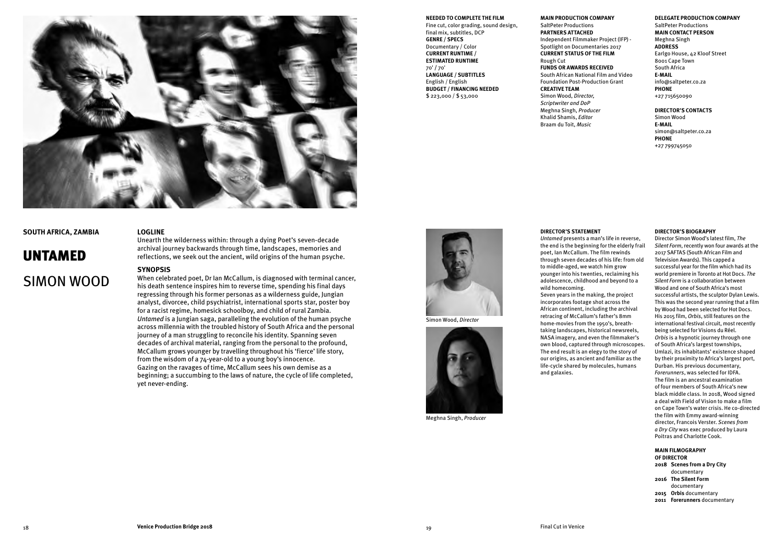

#### **SOUTH AFRICA, ZAMBIA**

## UNTAMED SIMON WOOD

#### **LOGLINE**

Unearth the wilderness within: through a dying Poet's seven-decade archival journey backwards through time, landscapes, memories and reflections, we seek out the ancient, wild origins of the human psyche.

#### **SYNOPSIS**

When celebrated poet, Dr Ian McCallum, is diagnosed with terminal cancer, his death sentence inspires him to reverse time, spending his final days regressing through his former personas as a wilderness guide, Jungian analyst, divorcee, child psychiatrist, international sports star, poster boy for a racist regime, homesick schoolboy, and child of rural Zambia. *Untamed* is a Jungian saga, paralleling the evolution of the human psyche across millennia with the troubled history of South Africa and the personal journey of a man struggling to reconcile his identity. Spanning seven decades of archival material, ranging from the personal to the profound, McCallum grows younger by travelling throughout his 'fierce' life story, from the wisdom of a 74-year-old to a young boy's innocence. Gazing on the ravages of time, McCallum sees his own demise as a beginning; a succumbing to the laws of nature, the cycle of life completed, yet never-ending.

#### **NEEDED TO COMPLETE THE FILM**

Fine cut, color grading, sound design, final mix, subtitles, DCP **GENRE / SPECS** Documentary / Color **CURRENT RUNTIME / ESTIMATED RUNTIME**  70' **/** 70' **LANGUAGE / SUBTITLES** English / English

**BUDGET / FINANCING NEEDED**  \$ 223,000 / \$ 53,000

Simon Wood, *Director*

Meghna Singh, *Producer*

#### **MAIN PRODUCTION COMPANY**

SaltPeter Productions **PARTNERS ATTACHED** Independent Filmmaker Project (IFP) - Spotlight on Documentaries 2017 **CURRENT STATUS OF THE FILM** Rough Cut **FUNDS OR AWARDS RECEIVED** South African National Film and Video Foundation Post-Production Grant **CREATIVE TEAM** Simon Wood, *Director, Scriptwriter and DoP* Meghna Singh, *Producer* Khalid Shamis, *Editor* Braam du Toit, *Music*

### **DELEGATE PRODUCTION COMPANY**

SaltPeter Productions **MAIN CONTACT PERSON** Meghna Singh **ADDRESS** Earlgo House, 42 Kloof Street 8001 Cape Town South Africa **E-MAIL** info@saltpeter.co.za **PHONE** +27 715650090

#### **DIRECTOR'S CONTACTS**

Simon Wood **E-MAIL** [simon@saltpeter.co.za](https://webmail2010.labiennale.org/owa/Sara.Mazzucchi@labiennale.org/redir.aspx?C=GM74CO1x-306953oDMLuNhBWi3y-YWtT7T5TN9IN0atnlQ__5evVCA..&URL=mailto%3asimon%40saltpeter.co.za) **PHONE** +27 799745050

#### *Untamed* presents a man's life in reverse, the end is the beginning for the elderly frail

poet, Ian McCallum. The film rewinds through seven decades of his life: from old to middle-aged, we watch him grow younger into his twenties, reclaiming his adolescence, childhood and beyond to a wild homecoming.

**DIRECTOR'S STATEMENT**

Seven years in the making, the project incorporates footage shot across the African continent, including the archival retracing of McCallum's father's 8mm home-movies from the 1950's, breathtaking landscapes, historical newsreels, NASA imagery, and even the filmmaker's own blood, captured through microscopes. The end result is an elegy to the story of our origins, as ancient and familiar as the life-cycle shared by molecules, humans and galaxies.

#### **DIRECTOR'S BIOGRAPHY**

Director Simon Wood's latest film, *The Silent Form*, recently won four awards at the 2017 SAFTAS (South African Film and Television Awards). This capped a successful year for the film which had its world premiere in Toronto at Hot Docs. *The Silent Form* is a collaboration between Wood and one of South Africa's most successful artists, the sculptor Dylan Lewis. This was the second year running that a film by Wood had been selected for Hot Docs. His 2015 film, *Orbis*, still features on the international festival circuit, most recently being selected for Visions du Réel. *Orbis* is a hypnotic journey through one of South Africa's largest townships, Umlazi, its inhabitants' existence shaped by their proximity to Africa's largest port, Durban. His previous documentary, *Forerunners*, was selected for IDFA. The film is an ancestral examination of four members of South Africa's new black middle class. In 2018, Wood signed a deal with Field of Vision to make a film on Cape Town's water crisis. He co-directed the film with Emmy award-winning director, Francois Verster. *Scenes from a Dry City* was exec produced by Laura Poitras and Charlotte Cook.

#### **MAIN FILMOGRAPHY OF DIRECTOR**

- **2018 Scenes from a Dry City**  documentary
- **2016 The Silent Form**
- documentary
- **2015 Orbis** documentary
- **2011 Forerunners** documentary

18 **Venice Production Bridge 2018** 19 Final Cut in Venice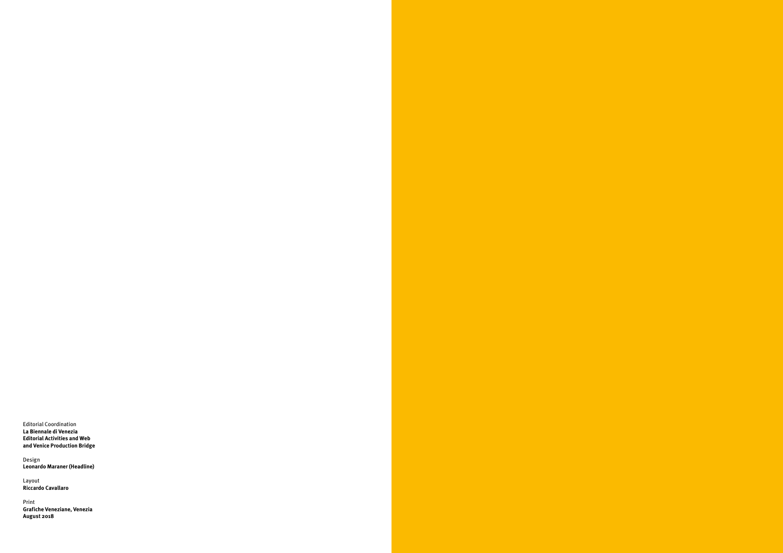Editorial Coordination **La Biennale di Venezia Editorial Activities and Web and Venice Production Bridge**

Design **Leonardo Maraner (Headline)**

Layout **Riccardo Cavallaro**

Print **Grafiche Veneziane, Venezia August 2018**